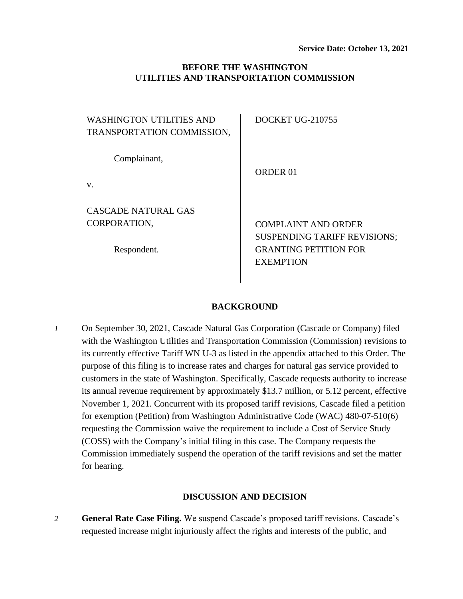### **BEFORE THE WASHINGTON UTILITIES AND TRANSPORTATION COMMISSION**

| <b>WASHINGTON UTILITIES AND</b><br>TRANSPORTATION COMMISSION, | <b>DOCKET UG-210755</b>                                                                 |
|---------------------------------------------------------------|-----------------------------------------------------------------------------------------|
| Complainant,                                                  | ORDER 01                                                                                |
| V.                                                            |                                                                                         |
| CASCADE NATURAL GAS                                           |                                                                                         |
| CORPORATION,                                                  | <b>COMPLAINT AND ORDER</b>                                                              |
| Respondent.                                                   | <b>SUSPENDING TARIFF REVISIONS;</b><br><b>GRANTING PETITION FOR</b><br><b>EXEMPTION</b> |
|                                                               |                                                                                         |

### **BACKGROUND**

*1* On September 30, 2021, Cascade Natural Gas Corporation (Cascade or Company) filed with the Washington Utilities and Transportation Commission (Commission) revisions to its currently effective Tariff WN U-3 as listed in the appendix attached to this Order. The purpose of this filing is to increase rates and charges for natural gas service provided to customers in the state of Washington. Specifically, Cascade requests authority to increase its annual revenue requirement by approximately \$13.7 million, or 5.12 percent, effective November 1, 2021. Concurrent with its proposed tariff revisions, Cascade filed a petition for exemption (Petition) from Washington Administrative Code (WAC) 480-07-510(6) requesting the Commission waive the requirement to include a Cost of Service Study (COSS) with the Company's initial filing in this case. The Company requests the Commission immediately suspend the operation of the tariff revisions and set the matter for hearing.

### **DISCUSSION AND DECISION**

*2* **General Rate Case Filing.** We suspend Cascade's proposed tariff revisions. Cascade's requested increase might injuriously affect the rights and interests of the public, and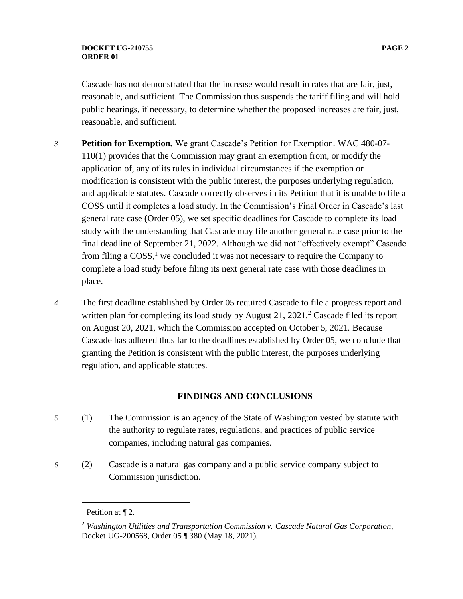Cascade has not demonstrated that the increase would result in rates that are fair, just, reasonable, and sufficient. The Commission thus suspends the tariff filing and will hold public hearings, if necessary, to determine whether the proposed increases are fair, just, reasonable, and sufficient.

- *3* **Petition for Exemption.** We grant Cascade's Petition for Exemption. WAC 480-07- 110(1) provides that the Commission may grant an exemption from, or modify the application of, any of its rules in individual circumstances if the exemption or modification is consistent with the public interest, the purposes underlying regulation, and applicable statutes. Cascade correctly observes in its Petition that it is unable to file a COSS until it completes a load study. In the Commission's Final Order in Cascade's last general rate case (Order 05), we set specific deadlines for Cascade to complete its load study with the understanding that Cascade may file another general rate case prior to the final deadline of September 21, 2022. Although we did not "effectively exempt" Cascade from filing a  $COSS<sup>1</sup>$  we concluded it was not necessary to require the Company to complete a load study before filing its next general rate case with those deadlines in place.
- *4* The first deadline established by Order 05 required Cascade to file a progress report and written plan for completing its load study by August 21, 2021.<sup>2</sup> Cascade filed its report on August 20, 2021, which the Commission accepted on October 5, 2021. Because Cascade has adhered thus far to the deadlines established by Order 05, we conclude that granting the Petition is consistent with the public interest, the purposes underlying regulation, and applicable statutes.

## **FINDINGS AND CONCLUSIONS**

- *5* (1) The Commission is an agency of the State of Washington vested by statute with the authority to regulate rates, regulations, and practices of public service companies, including natural gas companies.
- *6* (2) Cascade is a natural gas company and a public service company subject to Commission jurisdiction.

<sup>&</sup>lt;sup>1</sup> Petition at  $\P$  2.

<sup>2</sup> *Washington Utilities and Transportation Commission v. Cascade Natural Gas Corporation*, Docket UG-200568, Order 05 ¶ 380 (May 18, 2021).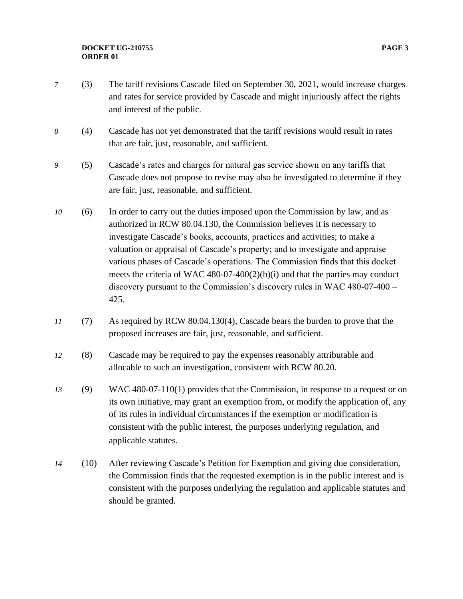### **DOCKET UG-210755 PAGE 3 ORDER 01**

- *7* (3) The tariff revisions Cascade filed on September 30, 2021, would increase charges and rates for service provided by Cascade and might injuriously affect the rights and interest of the public.
- *8* (4) Cascade has not yet demonstrated that the tariff revisions would result in rates that are fair, just, reasonable, and sufficient.
- *9* (5) Cascade's rates and charges for natural gas service shown on any tariffs that Cascade does not propose to revise may also be investigated to determine if they are fair, just, reasonable, and sufficient.
- *10* (6) In order to carry out the duties imposed upon the Commission by law, and as authorized in RCW 80.04.130, the Commission believes it is necessary to investigate Cascade's books, accounts, practices and activities; to make a valuation or appraisal of Cascade's property; and to investigate and appraise various phases of Cascade's operations. The Commission finds that this docket meets the criteria of WAC 480-07-400(2)(b)(i) and that the parties may conduct discovery pursuant to the Commission's discovery rules in WAC 480-07-400 – 425.
- *11* (7) As required by RCW 80.04.130(4), Cascade bears the burden to prove that the proposed increases are fair, just, reasonable, and sufficient.
- *12* (8) Cascade may be required to pay the expenses reasonably attributable and allocable to such an investigation, consistent with RCW 80.20.
- *13* (9) WAC 480-07-110(1) provides that the Commission, in response to a request or on its own initiative, may grant an exemption from, or modify the application of, any of its rules in individual circumstances if the exemption or modification is consistent with the public interest, the purposes underlying regulation, and applicable statutes.
- *14* (10) After reviewing Cascade's Petition for Exemption and giving due consideration, the Commission finds that the requested exemption is in the public interest and is consistent with the purposes underlying the regulation and applicable statutes and should be granted.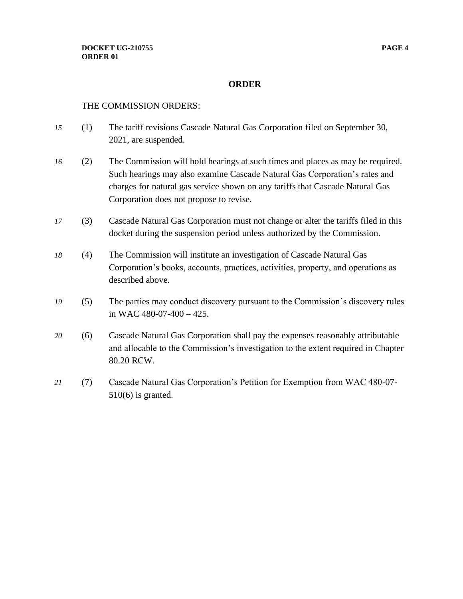## **ORDER**

### THE COMMISSION ORDERS:

- *15* (1) The tariff revisions Cascade Natural Gas Corporation filed on September 30, 2021, are suspended.
- *16* (2) The Commission will hold hearings at such times and places as may be required. Such hearings may also examine Cascade Natural Gas Corporation's rates and charges for natural gas service shown on any tariffs that Cascade Natural Gas Corporation does not propose to revise.
- *17* (3) Cascade Natural Gas Corporation must not change or alter the tariffs filed in this docket during the suspension period unless authorized by the Commission.
- *18* (4) The Commission will institute an investigation of Cascade Natural Gas Corporation's books, accounts, practices, activities, property, and operations as described above.
- *19* (5) The parties may conduct discovery pursuant to the Commission's discovery rules in WAC 480-07-400 – 425.
- *20* (6) Cascade Natural Gas Corporation shall pay the expenses reasonably attributable and allocable to the Commission's investigation to the extent required in Chapter 80.20 RCW.
- *21* (7) Cascade Natural Gas Corporation's Petition for Exemption from WAC 480-07- 510(6) is granted.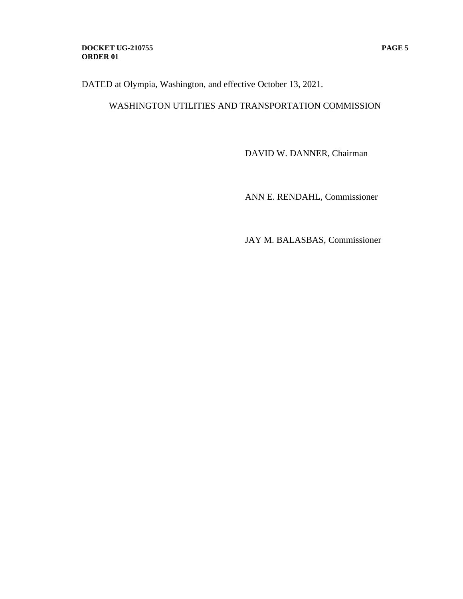### **DOCKET UG-210755 PAGE 5 ORDER 01**

DATED at Olympia, Washington, and effective October 13, 2021.

# WASHINGTON UTILITIES AND TRANSPORTATION COMMISSION

DAVID W. DANNER, Chairman

ANN E. RENDAHL, Commissioner

JAY M. BALASBAS, Commissioner